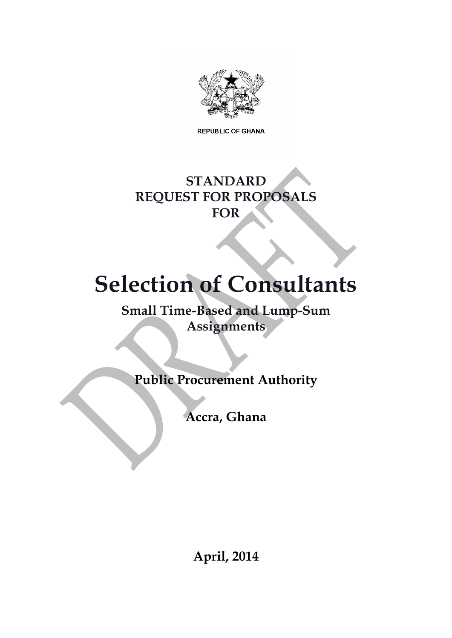

**REPUBLIC OF GHANA** 

# **STANDARD REQUEST FOR PROPOSALS FOR**

# **Selection of Consultants**

**Small Time-Based and Lump-Sum Assignments**

**Public Procurement Authority**

**Accra, Ghana**

**April, 2014**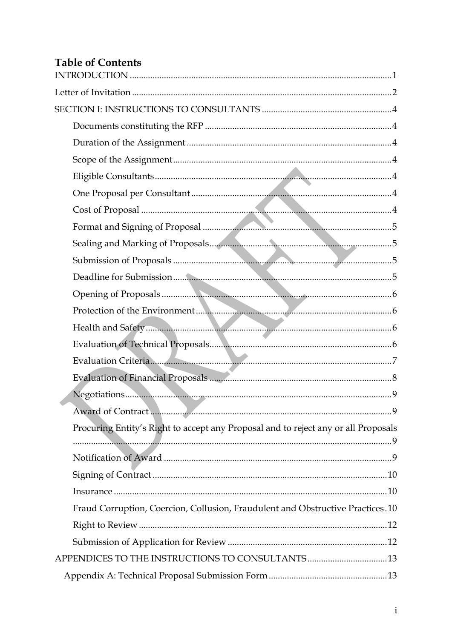# **Table of Contents**

| Evaluation Criteria.                                                               |
|------------------------------------------------------------------------------------|
|                                                                                    |
|                                                                                    |
|                                                                                    |
| Procuring Entity's Right to accept any Proposal and to reject any or all Proposals |
|                                                                                    |
|                                                                                    |
|                                                                                    |
|                                                                                    |
| Fraud Corruption, Coercion, Collusion, Fraudulent and Obstructive Practices.10     |
|                                                                                    |
|                                                                                    |
|                                                                                    |
|                                                                                    |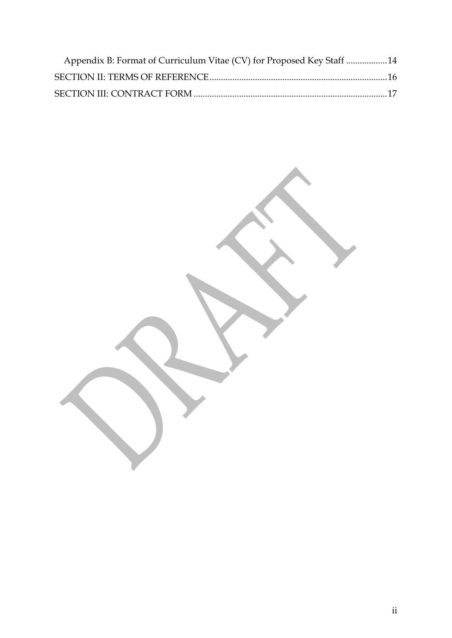| Appendix B: Format of Curriculum Vitae (CV) for Proposed Key Staff 14 |  |
|-----------------------------------------------------------------------|--|
|                                                                       |  |
|                                                                       |  |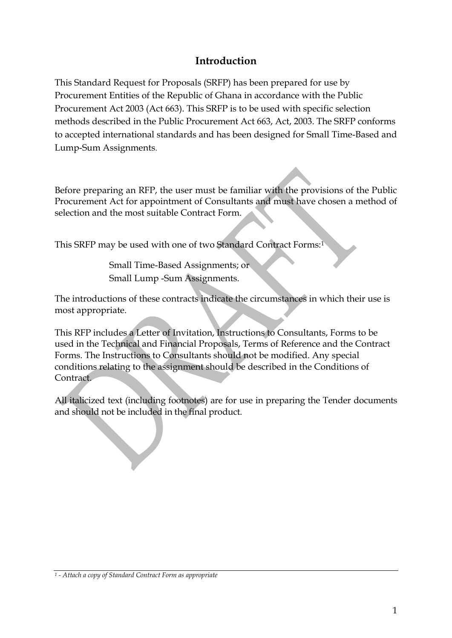# **Introduction**

<span id="page-3-0"></span>This Standard Request for Proposals (SRFP) has been prepared for use by Procurement Entities of the Republic of Ghana in accordance with the Public Procurement Act 2003 (Act 663). This SRFP is to be used with specific selection methods described in the Public Procurement Act 663, Act, 2003. The SRFP conforms to accepted international standards and has been designed for Small Time-Based and Lump-Sum Assignments.

Before preparing an RFP, the user must be familiar with the provisions of the Public Procurement Act for appointment of Consultants and must have chosen a method of selection and the most suitable Contract Form.

This SRFP may be used with one of two Standard Contract Forms:<sup>1</sup>

Small Time-Based Assignments; or Small Lump -Sum Assignments.

The introductions of these contracts indicate the circumstances in which their use is most appropriate.

This RFP includes a Letter of Invitation, Instructions to Consultants, Forms to be used in the Technical and Financial Proposals, Terms of Reference and the Contract Forms. The Instructions to Consultants should not be modified. Any special conditions relating to the assignment should be described in the Conditions of Contract.

All italicized text (including footnotes) are for use in preparing the Tender documents and should not be included in the final product.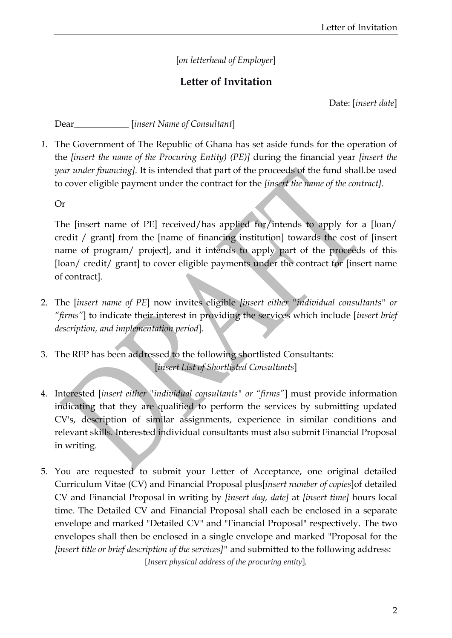#### [*on letterhead of Employer*]

## **Letter of Invitation**

Date: [*insert date*]

<span id="page-4-0"></span>Dear\_\_\_\_\_\_\_\_\_\_\_\_ [*insert Name of Consultant*]

*1.* The Government of The Republic of Ghana has set aside funds for the operation of the *[insert the name of the Procuring Entity) (PE)]* during the financial year *[insert the year under financing].* It is intended that part of the proceeds of the fund shall.be used to cover eligible payment under the contract for the *[insert the name of the contract].*

Or

The [insert name of PE] received/has applied for/intends to apply for a [loan/ credit / grant] from the [name of financing institution] towards the cost of [insert name of program/ project], and it intends to apply part of the proceeds of this [loan/ credit/ grant] to cover eligible payments under the contract for [insert name of contract].

- 2. The [*insert name of PE*] now invites eligible *[insert either "individual consultants" or "firms"*] to indicate their interest in providing the services which include [*insert brief description, and implementation period*].
- 3. The RFP has been addressed to the following shortlisted Consultants: [*insert List of Shortlisted Consultants*]
- 4. Interested [*insert either "individual consultants" or "firms"*] must provide information indicating that they are qualified to perform the services by submitting updated CV's, description of similar assignments, experience in similar conditions and relevant skills. Interested individual consultants must also submit Financial Proposal in writing.
- 5. You are requested to submit your Letter of Acceptance, one original detailed Curriculum Vitae (CV) and Financial Proposal plus[*insert number of copies*]of detailed CV and Financial Proposal in writing by *[insert day, date]* at *[insert time]* hours local time. The Detailed CV and Financial Proposal shall each be enclosed in a separate envelope and marked "Detailed CV" and "Financial Proposal" respectively. The two envelopes shall then be enclosed in a single envelope and marked "Proposal for the *[insert title or brief description of the services]"* and submitted to the following address:

[*Insert physical address of the procuring entity*]*.*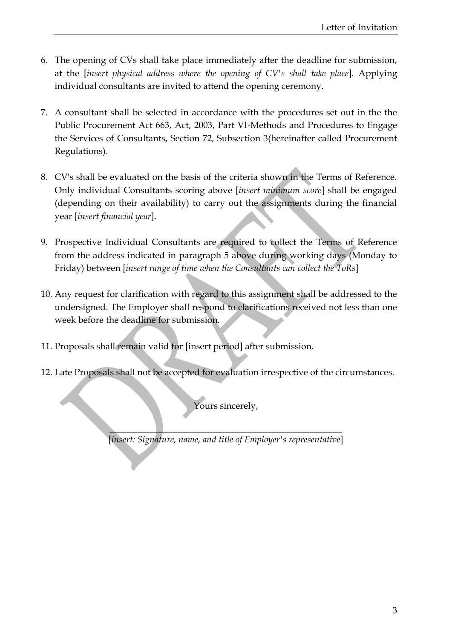- 6. The opening of CVs shall take place immediately after the deadline for submission, at the [*insert physical address where the opening of CV's shall take place*]. Applying individual consultants are invited to attend the opening ceremony.
- 7. A consultant shall be selected in accordance with the procedures set out in the the Public Procurement Act 663, Act, 2003, Part VI-Methods and Procedures to Engage the Services of Consultants, Section 72, Subsection 3(hereinafter called Procurement Regulations).
- 8. CV's shall be evaluated on the basis of the criteria shown in the Terms of Reference. Only individual Consultants scoring above [*insert minimum score*] shall be engaged (depending on their availability) to carry out the assignments during the financial year [*insert financial year*].
- 9. Prospective Individual Consultants are required to collect the Terms of Reference from the address indicated in paragraph 5 above during working days (Monday to Friday) between [*insert range of time when the Consultants can collect the ToRs*]
- 10. Any request for clarification with regard to this assignment shall be addressed to the undersigned. The Employer shall respond to clarifications received not less than one week before the deadline for submission.
- 11. Proposals shall remain valid for [insert period] after submission.
- 12. Late Proposals shall not be accepted for evaluation irrespective of the circumstances.

Yours sincerely,

 $\color{red}\blacktriangle$  and the set of the set of the set of the set of the set of the set of the set of the set of the set of the set of the set of the set of the set of the set of the set of the set of the set of the set of the set o [*insert: Signature, name, and title of Employer's representative*]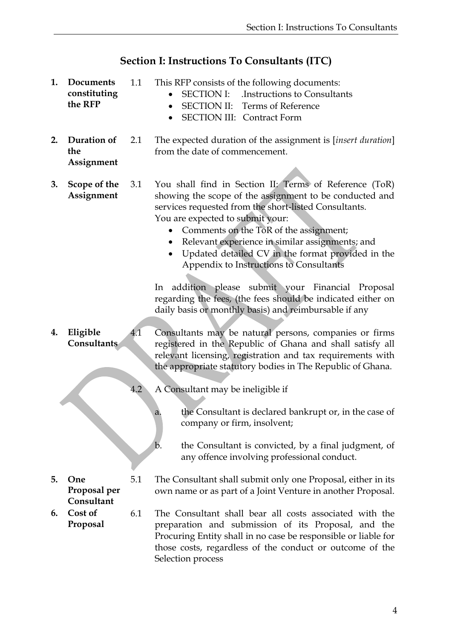# **Section I: Instructions To Consultants (ITC)**

<span id="page-6-6"></span><span id="page-6-5"></span><span id="page-6-4"></span><span id="page-6-3"></span><span id="page-6-2"></span><span id="page-6-1"></span><span id="page-6-0"></span>

| 1. | <b>Documents</b><br>constituting<br>the RFP | 1.1 | This RFP consists of the following documents:<br><b>SECTION I:</b><br>Instructions to Consultants<br><b>SECTION II:</b> Terms of Reference<br>$\bullet$<br><b>SECTION III: Contract Form</b>                                                                                                                                                                                                                                                                                                                                                                                                                          |  |  |
|----|---------------------------------------------|-----|-----------------------------------------------------------------------------------------------------------------------------------------------------------------------------------------------------------------------------------------------------------------------------------------------------------------------------------------------------------------------------------------------------------------------------------------------------------------------------------------------------------------------------------------------------------------------------------------------------------------------|--|--|
| 2. | Duration of<br>the<br>Assignment            | 2.1 | The expected duration of the assignment is [insert duration]<br>from the date of commencement.                                                                                                                                                                                                                                                                                                                                                                                                                                                                                                                        |  |  |
| 3. | Scope of the<br>Assignment                  | 3.1 | You shall find in Section II: Terms of Reference (ToR)<br>showing the scope of the assignment to be conducted and<br>services requested from the short-listed Consultants.<br>You are expected to submit your:<br>Comments on the ToR of the assignment;<br>Relevant experience in similar assignments; and<br>$\bullet$<br>Updated detailed CV in the format provided in the<br>$\bullet$<br>Appendix to Instructions to Consultants<br>addition please submit your Financial Proposal<br>In<br>regarding the fees, (the fees should be indicated either on<br>daily basis or monthly basis) and reimbursable if any |  |  |
| 4. | Eligible<br>Consultants                     | 4.1 | Consultants may be natural persons, companies or firms<br>registered in the Republic of Ghana and shall satisfy all<br>relevant licensing, registration and tax requirements with<br>the appropriate statutory bodies in The Republic of Ghana.                                                                                                                                                                                                                                                                                                                                                                       |  |  |
|    |                                             |     |                                                                                                                                                                                                                                                                                                                                                                                                                                                                                                                                                                                                                       |  |  |
|    |                                             | 4.2 | A Consultant may be ineligible if                                                                                                                                                                                                                                                                                                                                                                                                                                                                                                                                                                                     |  |  |
|    |                                             |     | the Consultant is declared bankrupt or, in the case of<br>a.<br>company or firm, insolvent;                                                                                                                                                                                                                                                                                                                                                                                                                                                                                                                           |  |  |
|    |                                             |     | b.<br>the Consultant is convicted, by a final judgment, of<br>any offence involving professional conduct.                                                                                                                                                                                                                                                                                                                                                                                                                                                                                                             |  |  |
| 5. | One<br>Proposal per<br>Consultant           | 5.1 | The Consultant shall submit only one Proposal, either in its<br>own name or as part of a Joint Venture in another Proposal.                                                                                                                                                                                                                                                                                                                                                                                                                                                                                           |  |  |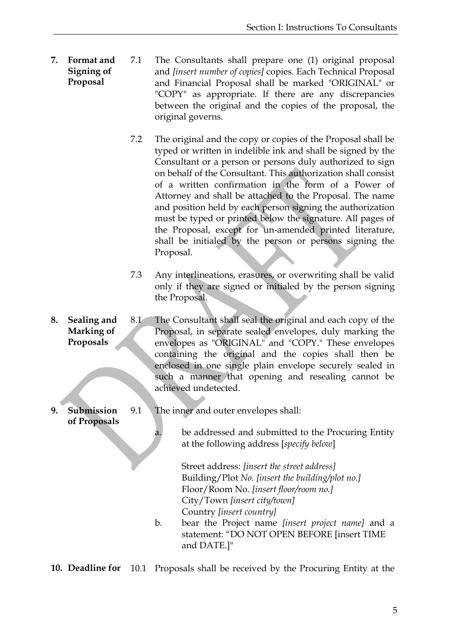- <span id="page-7-0"></span>**7. Format and Signing of Proposal** 7.1 The Consultants shall prepare one (1) original proposal and *[insert number of copies]* copies. Each Technical Proposal and Financial Proposal shall be marked "ORIGINAL" or "COPY" as appropriate. If there are any discrepancies between the original and the copies of the proposal, the original governs.
	- 7.2 The original and the copy or copies of the Proposal shall be typed or written in indelible ink and shall be signed by the Consultant or a person or persons duly authorized to sign on behalf of the Consultant. This authorization shall consist of a written confirmation in the form of a Power of Attorney and shall be attached to the Proposal. The name and position held by each person signing the authorization must be typed or printed below the signature. All pages of the Proposal, except for un-amended printed literature, shall be initialed by the person or persons signing the Proposal.
	- 7.3 Any interlineations, erasures, or overwriting shall be valid only if they are signed or initialed by the person signing the Proposal.
- <span id="page-7-1"></span>**8. Sealing and Marking of Proposals** 8.1 The Consultant shall seal the original and each copy of the Proposal, in separate sealed envelopes, duly marking the envelopes as "ORIGINAL" and "COPY." These envelopes containing the original and the copies shall then be enclosed in one single plain envelope securely sealed in such a manner that opening and resealing cannot be achieved undetected.
- <span id="page-7-2"></span>**9. Submission of Proposals** 9.1 The inner and outer envelopes shall:

a. be addressed and submitted to the Procuring Entity at the following address [*specify below*]

> Street address: *[insert the street address]*  Building/Plot *No. [insert the building/plot no.]* Floor/Room No. *[insert floor/room no.]* City/Town *[insert city/town]* Country *[insert country]*

b. bear the Project name *[insert project name]* and a statement: "DO NOT OPEN BEFORE [insert TIME and DATE.]"

<span id="page-7-3"></span>**10. Deadline for** 10.1 Proposals shall be received by the Procuring Entity at the

5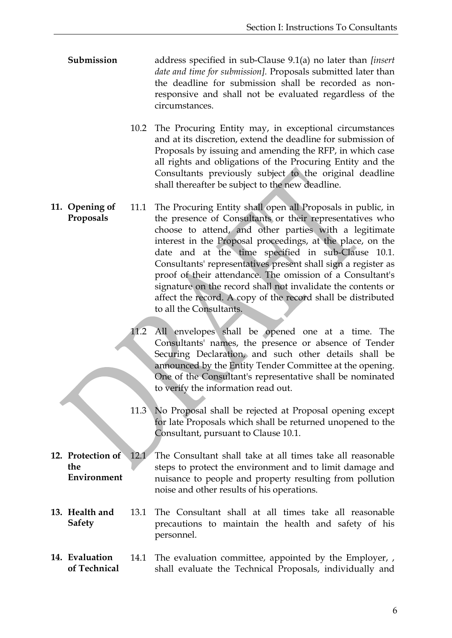- **Submission** address specified in sub-Clause 9.1(a) no later than *[insert date and time for submission].* Proposals submitted later than the deadline for submission shall be recorded as nonresponsive and shall not be evaluated regardless of the circumstances.
	- 10.2 The Procuring Entity may, in exceptional circumstances and at its discretion, extend the deadline for submission of Proposals by issuing and amending the RFP, in which case all rights and obligations of the Procuring Entity and the Consultants previously subject to the original deadline shall thereafter be subject to the new deadline.
- <span id="page-8-0"></span>**11. Opening of Proposals** 11.1 The Procuring Entity shall open all Proposals in public, in the presence of Consultants or their representatives who choose to attend, and other parties with a legitimate interest in the Proposal proceedings, at the place, on the date and at the time specified in sub-Clause 10.1. Consultants' representatives present shall sign a register as proof of their attendance. The omission of a Consultant's signature on the record shall not invalidate the contents or affect the record. A copy of the record shall be distributed to all the Consultants.
	- 11.2 All envelopes shall be opened one at a time. The Consultants' names, the presence or absence of Tender Securing Declaration, and such other details shall be announced by the Entity Tender Committee at the opening. One of the Consultant's representative shall be nominated to verify the information read out.
	- 11.3 No Proposal shall be rejected at Proposal opening except for late Proposals which shall be returned unopened to the Consultant, pursuant to Clause 10.1.
- <span id="page-8-1"></span>**12. Protection of the Environment** 12.1 The Consultant shall take at all times take all reasonable steps to protect the environment and to limit damage and nuisance to people and property resulting from pollution noise and other results of his operations.
- <span id="page-8-2"></span>**13. Health and Safety** 13.1 The Consultant shall at all times take all reasonable precautions to maintain the health and safety of his personnel.
- <span id="page-8-3"></span>**14. Evaluation of Technical**  14.1 The evaluation committee, appointed by the Employer, , shall evaluate the Technical Proposals, individually and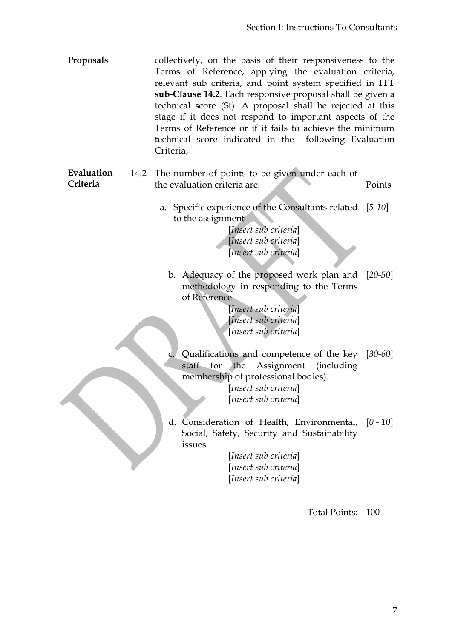- **Proposals** collectively, on the basis of their responsiveness to the Terms of Reference, applying the evaluation criteria, relevant sub criteria, and point system specified in **ITT sub-Clause 14.2**. Each responsive proposal shall be given a technical score (St). A proposal shall be rejected at this stage if it does not respond to important aspects of the Terms of Reference or if it fails to achieve the minimum technical score indicated in the following Evaluation Criteria;
- <span id="page-9-0"></span>**Evaluation Criteria** 14.2 The number of points to be given under each of the evaluation criteria are: Points
	- a. Specific experience of the Consultants related [*5-10*] to the assignment

[*Insert sub criteria*] [*Insert sub criteria*] [*Insert sub criteria*]

b. Adequacy of the proposed work plan and [*20-50*] methodology in responding to the Terms of Reference

> [*Insert sub criteria*] [*Insert sub criteria*] [*Insert sub criteria*]

c. Qualifications and competence of the key [*30-60*] staff for the Assignment (including membership of professional bodies).

> [*Insert sub criteria*] [*Insert sub criteria*]

d. Consideration of Health, Environmental, [*0 - 10*] Social, Safety, Security and Sustainability issues

> [*Insert sub criteria*] [*Insert sub criteria*] [*Insert sub criteria*]

> > Total Points: 100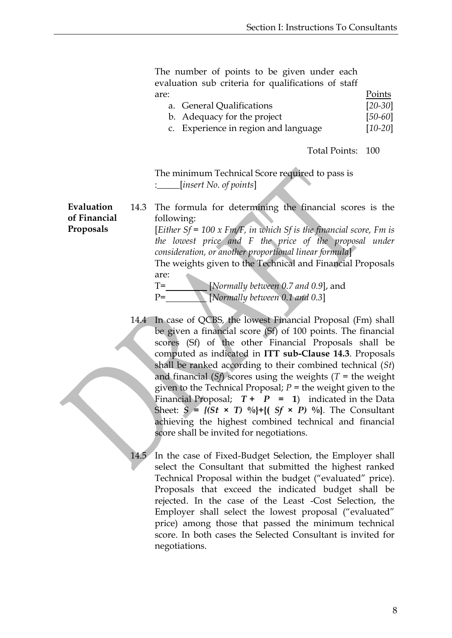The number of points to be given under each evaluation sub criteria for qualifications of staff are: Points

| a. General Qualifications |  | $[20 - 30]$ |
|---------------------------|--|-------------|
|                           |  | - -         |

b. Adequacy for the project [*50-60*]

c. Experience in region and language [*10-20*]

Total Points: 100

The minimum Technical Score required to pass is :\_\_\_\_\_[*insert No. of points*]

<span id="page-10-0"></span>**Evaluation**  14.3 The formula for determining the financial scores is the following: [*Either Sf = 100 x Fm/F, in which Sf is the financial score, Fm is* 

*the lowest price and F the price of the proposal under consideration, or another proportional linear formula*]

The weights given to the Technical and Financial Proposals are:

T= [*Normally between 0.7 and 0.9*], and P= [*Normally between 0.1 and 0.3*]

14.4 In case of QCBS*,* the lowest Financial Proposal (Fm) shall be given a financial score (Sf) of 100 points. The financial scores (Sf) of the other Financial Proposals shall be computed as indicated in **ITT sub-Clause 14.3**. Proposals shall be ranked according to their combined technical (*St*) and financial (*Sf*) scores using the weights (*T* = the weight given to the Technical Proposal;  $P =$  the weight given to the Financial Proposal;  $T + P = 1$ ) indicated in the Data Sheet:  $S = \{(St \times T) \ ^{0}\_0\} + \{(Sf \times P) \ ^{0}\_0\}$ . The Consultant achieving the highest combined technical and financial score shall be invited for negotiations.

14.5 In the case of Fixed-Budget Selection, the Employer shall select the Consultant that submitted the highest ranked Technical Proposal within the budget ("evaluated" price). Proposals that exceed the indicated budget shall be rejected. In the case of the Least -Cost Selection, the Employer shall select the lowest proposal ("evaluated" price) among those that passed the minimum technical score. In both cases the Selected Consultant is invited for negotiations.

**of Financial Proposals**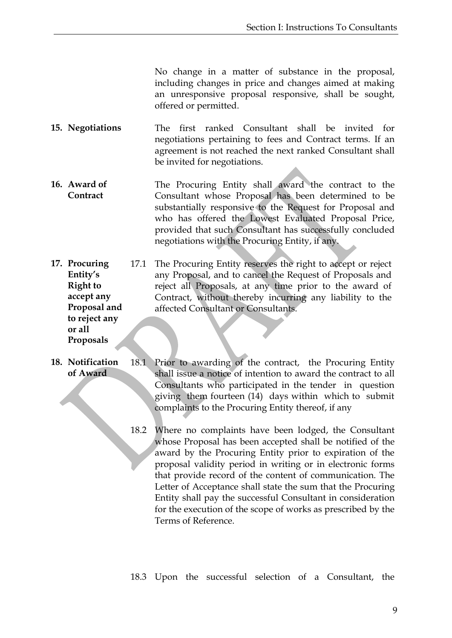No change in a matter of substance in the proposal, including changes in price and changes aimed at making an unresponsive proposal responsive, shall be sought, offered or permitted.

- <span id="page-11-0"></span>**15. Negotiations** The first ranked Consultant shall be invited for negotiations pertaining to fees and Contract terms. If an agreement is not reached the next ranked Consultant shall be invited for negotiations.
- <span id="page-11-1"></span>**16. Award of Contract** The Procuring Entity shall award the contract to the Consultant whose Proposal has been determined to be substantially responsive to the Request for Proposal and who has offered the Lowest Evaluated Proposal Price, provided that such Consultant has successfully concluded negotiations with the Procuring Entity, if any.
- <span id="page-11-2"></span>**17. Procuring Entity's Right to accept any Proposal and to reject any**  17.1 The Procuring Entity reserves the right to accept or reject any Proposal, and to cancel the Request of Proposals and reject all Proposals, at any time prior to the award of Contract, without thereby incurring any liability to the affected Consultant or Consultants.

**or all Proposals**

<span id="page-11-3"></span>**18. Notification of Award** 18.1 Prior to awarding of the contract, the Procuring Entity shall issue a notice of intention to award the contract to all Consultants who participated in the tender in question giving them fourteen (14) days within which to submit complaints to the Procuring Entity thereof, if any

> 18.2 Where no complaints have been lodged, the Consultant whose Proposal has been accepted shall be notified of the award by the Procuring Entity prior to expiration of the proposal validity period in writing or in electronic forms that provide record of the content of communication. The Letter of Acceptance shall state the sum that the Procuring Entity shall pay the successful Consultant in consideration for the execution of the scope of works as prescribed by the Terms of Reference.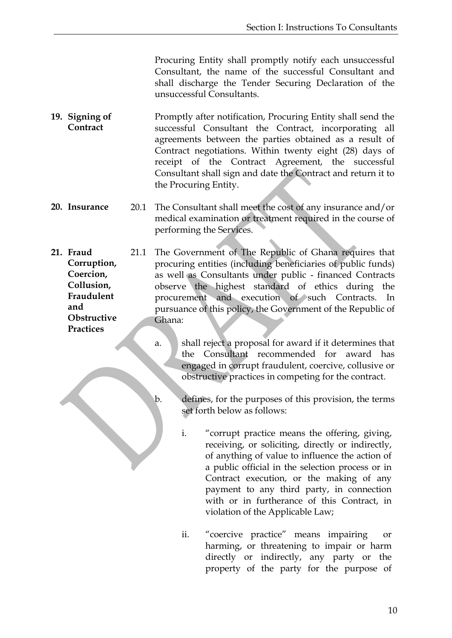Procuring Entity shall promptly notify each unsuccessful Consultant, the name of the successful Consultant and shall discharge the Tender Securing Declaration of the unsuccessful Consultants.

- <span id="page-12-0"></span>**19. Signing of Contract** Promptly after notification, Procuring Entity shall send the successful Consultant the Contract, incorporating all agreements between the parties obtained as a result of Contract negotiations. Within twenty eight (28) days of receipt of the Contract Agreement, the successful Consultant shall sign and date the Contract and return it to the Procuring Entity.
- <span id="page-12-1"></span>**20. Insurance** 20.1 The Consultant shall meet the cost of any insurance and/or medical examination or treatment required in the course of performing the Services.
- <span id="page-12-2"></span>**21. Fraud Corruption, Coercion, Collusion, Fraudulent and Obstructive Practices** 21.1 The Government of The Republic of Ghana requires that procuring entities (including beneficiaries of public funds) as well as Consultants under public - financed Contracts observe the highest standard of ethics during the procurement and execution of such Contracts. In pursuance of this policy, the Government of the Republic of Ghana:
	- a. Shall reject a proposal for award if it determines that the Consultant recommended for award has engaged in corrupt fraudulent, coercive, collusive or obstructive practices in competing for the contract.
	- b. defines, for the purposes of this provision, the terms set forth below as follows:
		- i. "corrupt practice means the offering, giving, receiving, or soliciting, directly or indirectly, of anything of value to influence the action of a public official in the selection process or in Contract execution, or the making of any payment to any third party, in connection with or in furtherance of this Contract, in violation of the Applicable Law;
		- ii. "coercive practice" means impairing or harming, or threatening to impair or harm directly or indirectly, any party or the property of the party for the purpose of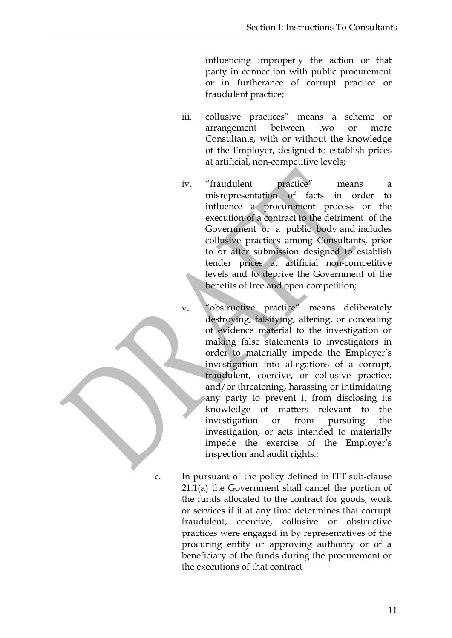influencing improperly the action or that party in connection with public procurement or in furtherance of corrupt practice or fraudulent practice;

- iii. collusive practices" means a scheme or arrangement between two or more Consultants, with or without the knowledge of the Employer, designed to establish prices at artificial, non-competitive levels;
- iv. "fraudulent practice" means a misrepresentation of facts in order to influence a procurement process or the execution of a contract to the detriment of the Government or a public body and includes collusive practices among Consultants, prior to or after submission designed to establish tender prices at artificial non-competitive levels and to deprive the Government of the benefits of free and open competition;
- v. "obstructive practice" means deliberately destroying, falsifying, altering, or concealing of evidence material to the investigation or making false statements to investigators in order to materially impede the Employer's investigation into allegations of a corrupt, fraudulent, coercive, or collusive practice; and/or threatening, harassing or intimidating any party to prevent it from disclosing its knowledge of matters relevant to the investigation or from pursuing the investigation, or acts intended to materially impede the exercise of the Employer's inspection and audit rights.;
- 

c. In pursuant of the policy defined in ITT sub-clause 21.1(a) the Government shall cancel the portion of the funds allocated to the contract for goods, work or services if it at any time determines that corrupt fraudulent, coercive, collusive or obstructive practices were engaged in by representatives of the procuring entity or approving authority or of a beneficiary of the funds during the procurement or the executions of that contract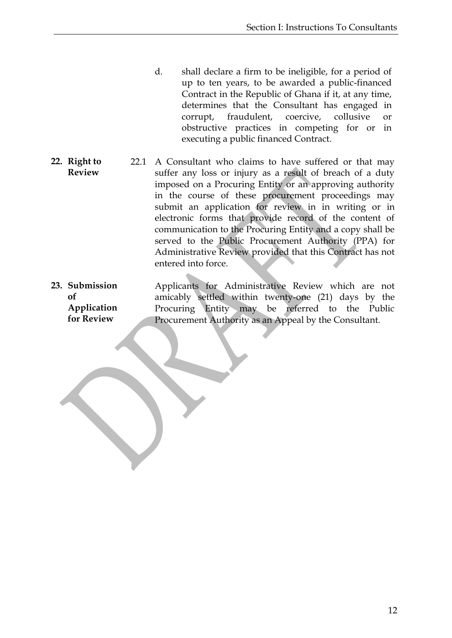- d. shall declare a firm to be ineligible, for a period of up to ten years, to be awarded a public-financed Contract in the Republic of Ghana if it, at any time, determines that the Consultant has engaged in corrupt, fraudulent, coercive, collusive or obstructive practices in competing for or in executing a public financed Contract.
- <span id="page-14-0"></span>**22. Right to Review** 22.1 A Consultant who claims to have suffered or that may suffer any loss or injury as a result of breach of a duty imposed on a Procuring Entity or an approving authority in the course of these procurement proceedings may submit an application for review in in writing or in electronic forms that provide record of the content of communication to the Procuring Entity and a copy shall be served to the Public Procurement Authority (PPA) for Administrative Review provided that this Contract has not entered into force.
- <span id="page-14-1"></span>**23. Submission**   $\mathbf{f}$ **Application for Review** Applicants for Administrative Review which are not amicably settled within twenty-one (21) days by the Procuring Entity may be referred to the Public Procurement Authority as an Appeal by the Consultant.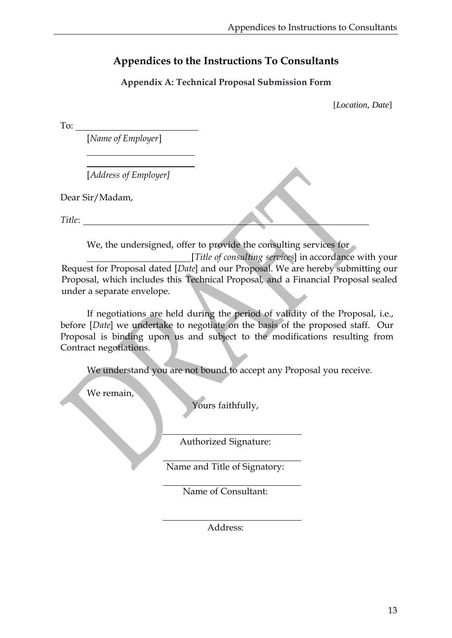# <span id="page-15-0"></span>**Appendices to the Instructions To Consultants**

#### **Appendix A: Technical Proposal Submission Form**

[*Location, Date*]

<span id="page-15-1"></span>To:

[*Name of Employer*]

[*Address of Employer]*

Dear Sir/Madam,

*Title*:

We, the undersigned, offer to provide the consulting services for

[*Title of consulting services*] in accordance with your Request for Proposal dated [*Date*] and our Proposal. We are hereby submitting our Proposal, which includes this Technical Proposal, and a Financial Proposal sealed under a separate envelope.

If negotiations are held during the period of validity of the Proposal, i.e., before [*Date*] we undertake to negotiate on the basis of the proposed staff. Our Proposal is binding upon us and subject to the modifications resulting from Contract negotiations.

We understand you are not bound to accept any Proposal you receive.

We remain,

Yours faithfully,

Authorized Signature:

Name and Title of Signatory:

Name of Consultant:

Address: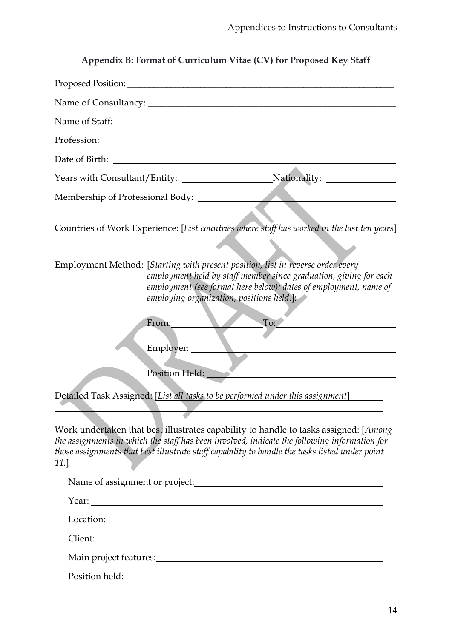<span id="page-16-0"></span>

| Countries of Work Experience: [List countries where staff has worked in the last ten years]                                                                                                                                                                                                                          |
|----------------------------------------------------------------------------------------------------------------------------------------------------------------------------------------------------------------------------------------------------------------------------------------------------------------------|
| Employment Method: [Starting with present position, list in reverse order every<br>employment held by staff member since graduation, giving for each<br>employment (see format here below): dates of employment, name of<br>employing organization, positions held.]:<br>To:<br>From:<br>Employer:<br>Position Held: |
| Detailed Task Assigned: [List all tasks to be performed under this assignment]                                                                                                                                                                                                                                       |
| Work undertaken that best illustrates capability to handle to tasks assigned: [Among]<br>the assignments in which the staff has been involved, indicate the following information for<br>those assignments that best illustrate staff capability to handle the tasks listed under point<br>11.]                      |
|                                                                                                                                                                                                                                                                                                                      |
|                                                                                                                                                                                                                                                                                                                      |
|                                                                                                                                                                                                                                                                                                                      |
|                                                                                                                                                                                                                                                                                                                      |
|                                                                                                                                                                                                                                                                                                                      |
|                                                                                                                                                                                                                                                                                                                      |
|                                                                                                                                                                                                                                                                                                                      |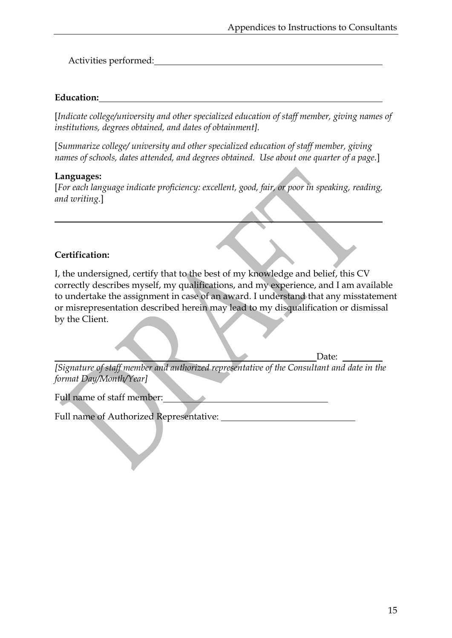Activities performed:

#### **Education:**

[*Indicate college/university and other specialized education of staff member, giving names of institutions, degrees obtained, and dates of obtainment].*

[*Summarize college/ university and other specialized education of staff member, giving names of schools, dates attended, and degrees obtained. Use about one quarter of a page.*]

#### **Languages:**

[*For each language indicate proficiency: excellent, good, fair, or poor in speaking, reading, and writing.*]

## **Certification:**

I, the undersigned, certify that to the best of my knowledge and belief, this CV correctly describes myself, my qualifications, and my experience, and I am available to undertake the assignment in case of an award. I understand that any misstatement or misrepresentation described herein may lead to my disqualification or dismissal by the Client.

Date:

*[Signature of staff member and authorized representative of the Consultant and date in the format Day/Month/Year]*

Full name of staff member:

Full name of Authorized Representative: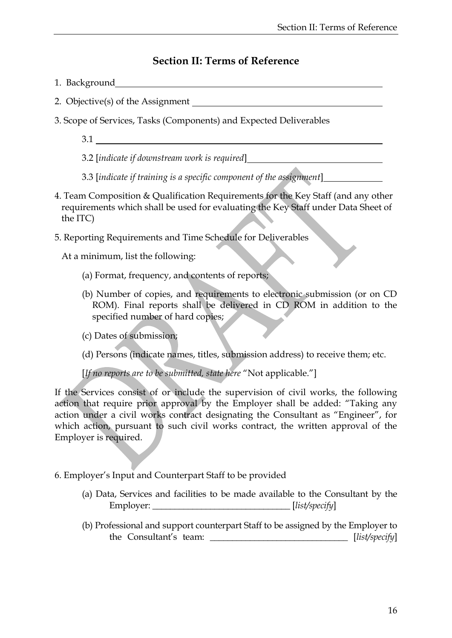## **Section II: Terms of Reference**

- <span id="page-18-0"></span>1.Background
- 2. Objective(s) of the Assignment
- 3. Scope of Services, Tasks (Components) and Expected Deliverables
	- 3.1

3.2 [*indicate if downstream work is required*]

- 3.3 [*indicate if training is a specific component of the assignment*]
- 4. Team Composition & Qualification Requirements for the Key Staff (and any other requirements which shall be used for evaluating the Key Staff under Data Sheet of the ITC)
- 5. Reporting Requirements and Time Schedule for Deliverables

At a minimum, list the following:

- (a) Format, frequency, and contents of reports;
- (b) Number of copies, and requirements to electronic submission (or on CD ROM). Final reports shall be delivered in CD ROM in addition to the specified number of hard copies;
- (c) Dates of submission;
- (d) Persons (indicate names, titles, submission address) to receive them; etc.

[*If no reports are to be submitted, state here* "Not applicable."]

If the Services consist of or include the supervision of civil works, the following action that require prior approval by the Employer shall be added: "Taking any action under a civil works contract designating the Consultant as "Engineer", for which action, pursuant to such civil works contract, the written approval of the Employer is required.

6. Employer's Input and Counterpart Staff to be provided

- (a) Data, Services and facilities to be made available to the Consultant by the Employer: \_\_\_\_\_\_\_\_\_\_\_\_\_\_\_\_\_\_\_\_\_\_\_\_\_\_\_\_\_\_\_ [*list/specify*]
- (b) Professional and support counterpart Staff to be assigned by the Employer to the Consultant's team: \_\_\_\_\_\_\_\_\_\_\_\_\_\_\_\_\_\_\_\_\_\_\_\_\_\_\_\_\_\_\_ [*list/specify*]